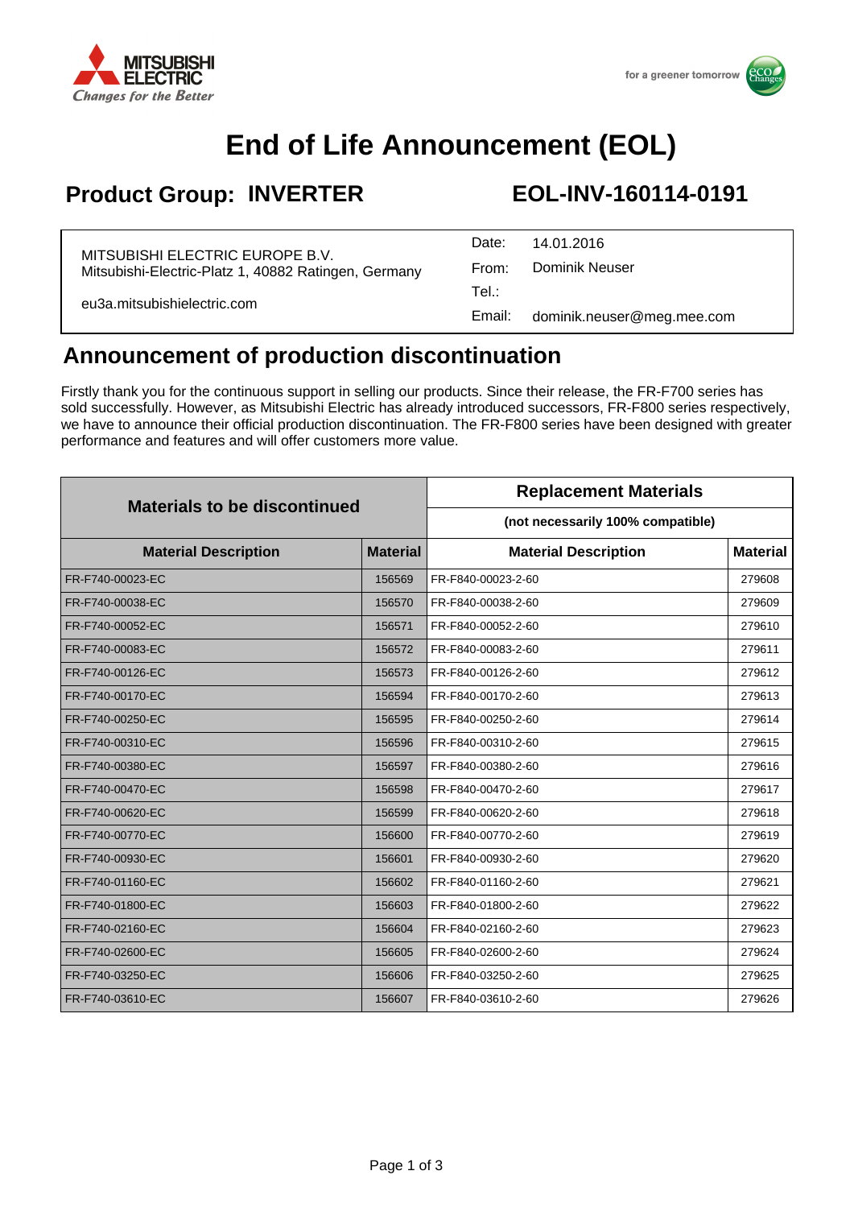

# **End of Life Announcement (EOL)**

### **Product Group: INVERTER EOL-INV-160114-0191**

| MITSUBISHI ELECTRIC EUROPE B.V.<br>Mitsubishi-Electric-Platz 1, 40882 Ratingen, Germany | Date:  | 14.01.2016                 |
|-----------------------------------------------------------------------------------------|--------|----------------------------|
|                                                                                         | From:  | Dominik Neuser             |
| eu3a.mitsubishielectric.com                                                             | Tel∴   |                            |
|                                                                                         | Email: | dominik.neuser@meg.mee.com |

#### **Announcement of production discontinuation**

Firstly thank you for the continuous support in selling our products. Since their release, the FR-F700 series has sold successfully. However, as Mitsubishi Electric has already introduced successors, FR-F800 series respectively, we have to announce their official production discontinuation. The FR-F800 series have been designed with greater performance and features and will offer customers more value.

| <b>Materials to be discontinued</b> |                 | <b>Replacement Materials</b>      |                 |
|-------------------------------------|-----------------|-----------------------------------|-----------------|
|                                     |                 | (not necessarily 100% compatible) |                 |
| <b>Material Description</b>         | <b>Material</b> | <b>Material Description</b>       | <b>Material</b> |
| FR-F740-00023-EC                    | 156569          | FR-F840-00023-2-60                | 279608          |
| FR-F740-00038-EC                    | 156570          | FR-F840-00038-2-60                | 279609          |
| FR-F740-00052-EC                    | 156571          | FR-F840-00052-2-60                | 279610          |
| FR-F740-00083-EC                    | 156572          | FR-F840-00083-2-60                | 279611          |
| FR-F740-00126-EC                    | 156573          | FR-F840-00126-2-60                | 279612          |
| FR-F740-00170-EC                    | 156594          | FR-F840-00170-2-60                | 279613          |
| FR-F740-00250-EC                    | 156595          | FR-F840-00250-2-60                | 279614          |
| FR-F740-00310-EC                    | 156596          | FR-F840-00310-2-60                | 279615          |
| FR-F740-00380-EC                    | 156597          | FR-F840-00380-2-60                | 279616          |
| FR-F740-00470-EC                    | 156598          | FR-F840-00470-2-60                | 279617          |
| FR-F740-00620-EC                    | 156599          | FR-F840-00620-2-60                | 279618          |
| FR-F740-00770-EC                    | 156600          | FR-F840-00770-2-60                | 279619          |
| FR-F740-00930-EC                    | 156601          | FR-F840-00930-2-60                | 279620          |
| FR-F740-01160-EC                    | 156602          | FR-F840-01160-2-60                | 279621          |
| FR-F740-01800-EC                    | 156603          | FR-F840-01800-2-60                | 279622          |
| FR-F740-02160-EC                    | 156604          | FR-F840-02160-2-60                | 279623          |
| FR-F740-02600-EC                    | 156605          | FR-F840-02600-2-60                | 279624          |
| FR-F740-03250-EC                    | 156606          | FR-F840-03250-2-60                | 279625          |
| FR-F740-03610-EC                    | 156607          | FR-F840-03610-2-60                | 279626          |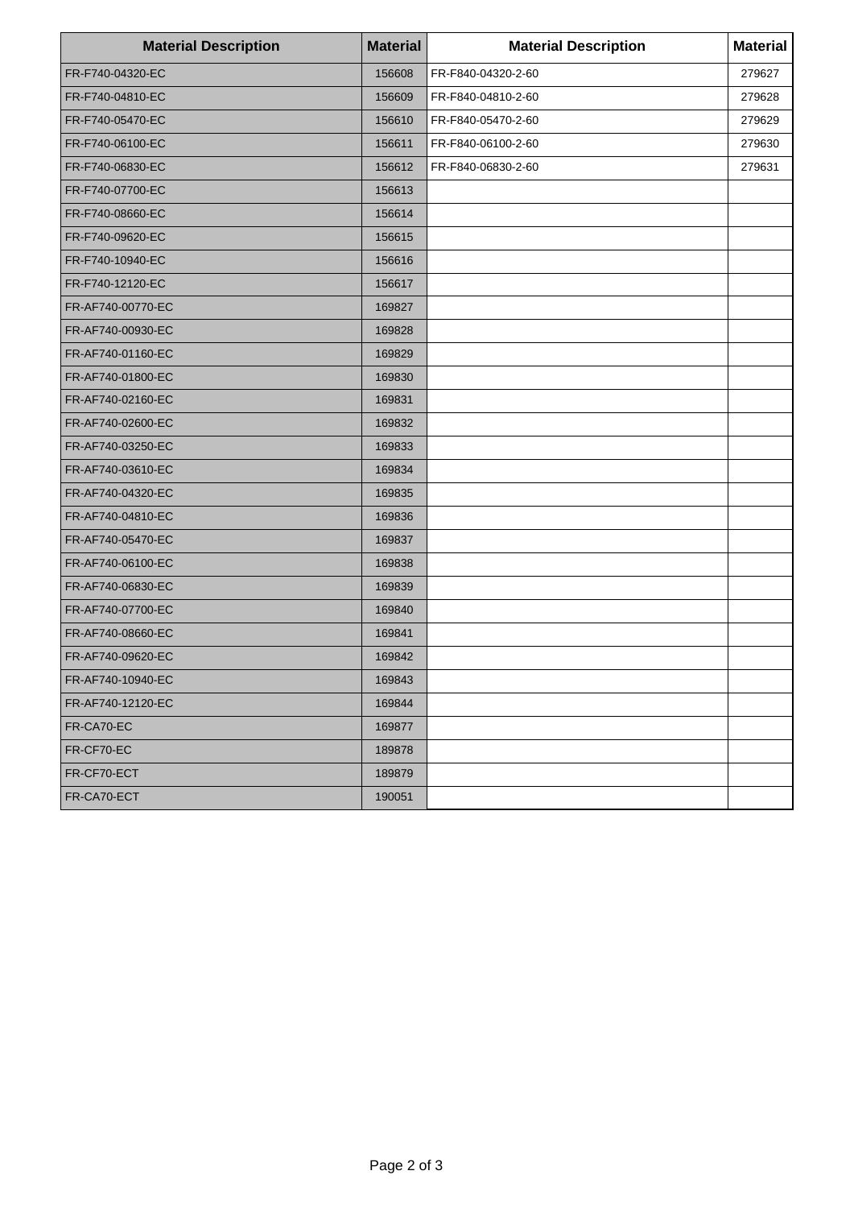| <b>Material Description</b> | <b>Material</b> | <b>Material Description</b> | <b>Material</b> |
|-----------------------------|-----------------|-----------------------------|-----------------|
| FR-F740-04320-EC            | 156608          | FR-F840-04320-2-60          | 279627          |
| FR-F740-04810-EC            | 156609          | FR-F840-04810-2-60          | 279628          |
| FR-F740-05470-EC            | 156610          | FR-F840-05470-2-60          | 279629          |
| FR-F740-06100-EC            | 156611          | FR-F840-06100-2-60          | 279630          |
| FR-F740-06830-EC            | 156612          | FR-F840-06830-2-60          | 279631          |
| FR-F740-07700-EC            | 156613          |                             |                 |
| FR-F740-08660-EC            | 156614          |                             |                 |
| FR-F740-09620-EC            | 156615          |                             |                 |
| FR-F740-10940-EC            | 156616          |                             |                 |
| FR-F740-12120-EC            | 156617          |                             |                 |
| FR-AF740-00770-EC           | 169827          |                             |                 |
| FR-AF740-00930-EC           | 169828          |                             |                 |
| FR-AF740-01160-EC           | 169829          |                             |                 |
| FR-AF740-01800-EC           | 169830          |                             |                 |
| FR-AF740-02160-EC           | 169831          |                             |                 |
| FR-AF740-02600-EC           | 169832          |                             |                 |
| FR-AF740-03250-EC           | 169833          |                             |                 |
| FR-AF740-03610-EC           | 169834          |                             |                 |
| FR-AF740-04320-EC           | 169835          |                             |                 |
| FR-AF740-04810-EC           | 169836          |                             |                 |
| FR-AF740-05470-EC           | 169837          |                             |                 |
| FR-AF740-06100-EC           | 169838          |                             |                 |
| FR-AF740-06830-EC           | 169839          |                             |                 |
| FR-AF740-07700-EC           | 169840          |                             |                 |
| FR-AF740-08660-EC           | 169841          |                             |                 |
| FR-AF740-09620-EC           | 169842          |                             |                 |
| FR-AF740-10940-EC           | 169843          |                             |                 |
| FR-AF740-12120-EC           | 169844          |                             |                 |
| FR-CA70-EC                  | 169877          |                             |                 |
| FR-CF70-EC                  | 189878          |                             |                 |
| FR-CF70-ECT                 | 189879          |                             |                 |
| FR-CA70-ECT                 | 190051          |                             |                 |